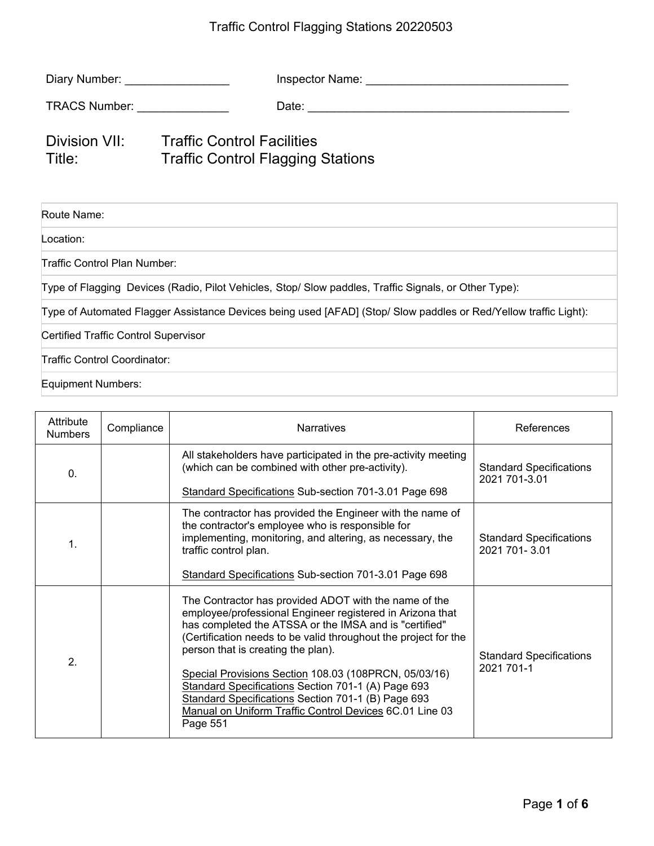## Traffic Control Flagging Stations 20220503

| Diary Number: No. 1996                                                                                           | Inspector Name: University of the University of the University of the University of the University of the University of the University of the University of the University of the University of the University of the Universi |  |  |
|------------------------------------------------------------------------------------------------------------------|--------------------------------------------------------------------------------------------------------------------------------------------------------------------------------------------------------------------------------|--|--|
| TRACS Number: TRACS Number:                                                                                      |                                                                                                                                                                                                                                |  |  |
| Division VII:<br>Title:                                                                                          | Traffic Control Facilities<br><b>Traffic Control Flagging Stations</b>                                                                                                                                                         |  |  |
| Route Name:                                                                                                      |                                                                                                                                                                                                                                |  |  |
| Location:                                                                                                        |                                                                                                                                                                                                                                |  |  |
| Traffic Control Plan Number:                                                                                     |                                                                                                                                                                                                                                |  |  |
| Type of Flagging Devices (Radio, Pilot Vehicles, Stop/ Slow paddles, Traffic Signals, or Other Type):            |                                                                                                                                                                                                                                |  |  |
| Type of Automated Flagger Assistance Devices being used [AFAD] (Stop/ Slow paddles or Red/Yellow traffic Light): |                                                                                                                                                                                                                                |  |  |
| <b>Certified Traffic Control Supervisor</b>                                                                      |                                                                                                                                                                                                                                |  |  |
| Traffic Control Coordinator:                                                                                     |                                                                                                                                                                                                                                |  |  |
| <b>Equipment Numbers:</b>                                                                                        |                                                                                                                                                                                                                                |  |  |

| Attribute<br><b>Numbers</b> | Compliance | <b>Narratives</b>                                                                                                                                                                                                                                                                                                                                                                                                                                                                                                                 | References                                      |
|-----------------------------|------------|-----------------------------------------------------------------------------------------------------------------------------------------------------------------------------------------------------------------------------------------------------------------------------------------------------------------------------------------------------------------------------------------------------------------------------------------------------------------------------------------------------------------------------------|-------------------------------------------------|
| 0.                          |            | All stakeholders have participated in the pre-activity meeting<br>(which can be combined with other pre-activity).                                                                                                                                                                                                                                                                                                                                                                                                                | <b>Standard Specifications</b><br>2021 701-3.01 |
|                             |            | Standard Specifications Sub-section 701-3.01 Page 698                                                                                                                                                                                                                                                                                                                                                                                                                                                                             |                                                 |
| $\mathbf 1$ .               |            | The contractor has provided the Engineer with the name of<br>the contractor's employee who is responsible for<br>implementing, monitoring, and altering, as necessary, the<br>traffic control plan.<br>Standard Specifications Sub-section 701-3.01 Page 698                                                                                                                                                                                                                                                                      | <b>Standard Specifications</b><br>2021 701-3.01 |
| 2.                          |            | The Contractor has provided ADOT with the name of the<br>employee/professional Engineer registered in Arizona that<br>has completed the ATSSA or the IMSA and is "certified"<br>(Certification needs to be valid throughout the project for the<br>person that is creating the plan).<br>Special Provisions Section 108.03 (108PRCN, 05/03/16)<br>Standard Specifications Section 701-1 (A) Page 693<br>Standard Specifications Section 701-1 (B) Page 693<br>Manual on Uniform Traffic Control Devices 6C.01 Line 03<br>Page 551 | <b>Standard Specifications</b><br>2021 701-1    |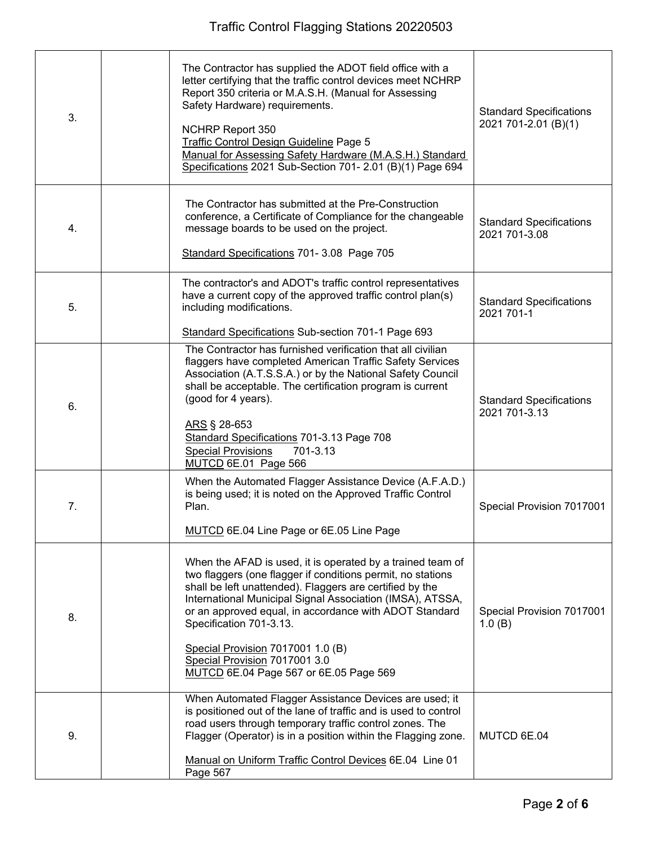| 3. | The Contractor has supplied the ADOT field office with a<br>letter certifying that the traffic control devices meet NCHRP<br>Report 350 criteria or M.A.S.H. (Manual for Assessing<br>Safety Hardware) requirements.<br>NCHRP Report 350<br>Traffic Control Design Guideline Page 5<br>Manual for Assessing Safety Hardware (M.A.S.H.) Standard<br>Specifications 2021 Sub-Section 701- 2.01 (B)(1) Page 694                                            | <b>Standard Specifications</b><br>2021 701-2.01 (B)(1) |
|----|---------------------------------------------------------------------------------------------------------------------------------------------------------------------------------------------------------------------------------------------------------------------------------------------------------------------------------------------------------------------------------------------------------------------------------------------------------|--------------------------------------------------------|
| 4. | The Contractor has submitted at the Pre-Construction<br>conference, a Certificate of Compliance for the changeable<br>message boards to be used on the project.<br>Standard Specifications 701- 3.08 Page 705                                                                                                                                                                                                                                           | <b>Standard Specifications</b><br>2021 701-3.08        |
| 5. | The contractor's and ADOT's traffic control representatives<br>have a current copy of the approved traffic control plan(s)<br>including modifications.<br>Standard Specifications Sub-section 701-1 Page 693                                                                                                                                                                                                                                            | <b>Standard Specifications</b><br>2021 701-1           |
| 6. | The Contractor has furnished verification that all civilian<br>flaggers have completed American Traffic Safety Services<br>Association (A.T.S.S.A.) or by the National Safety Council<br>shall be acceptable. The certification program is current<br>(good for 4 years).<br>ARS § 28-653<br>Standard Specifications 701-3.13 Page 708<br><b>Special Provisions</b><br>701-3.13<br>MUTCD 6E.01 Page 566                                                 | <b>Standard Specifications</b><br>2021 701-3.13        |
| 7. | When the Automated Flagger Assistance Device (A.F.A.D.)<br>is being used; it is noted on the Approved Traffic Control<br>Plan.<br>MUTCD 6E.04 Line Page or 6E.05 Line Page                                                                                                                                                                                                                                                                              | Special Provision 7017001                              |
| 8. | When the AFAD is used, it is operated by a trained team of<br>two flaggers (one flagger if conditions permit, no stations<br>shall be left unattended). Flaggers are certified by the<br>International Municipal Signal Association (IMSA), ATSSA,<br>or an approved equal, in accordance with ADOT Standard<br>Specification 701-3.13.<br>Special Provision 7017001 1.0 (B)<br>Special Provision 7017001 3.0<br>MUTCD 6E.04 Page 567 or 6E.05 Page 569 | Special Provision 7017001<br>1.0(B)                    |
| 9. | When Automated Flagger Assistance Devices are used; it<br>is positioned out of the lane of traffic and is used to control<br>road users through temporary traffic control zones. The<br>Flagger (Operator) is in a position within the Flagging zone.<br>Manual on Uniform Traffic Control Devices 6E.04 Line 01<br>Page 567                                                                                                                            | MUTCD 6E.04                                            |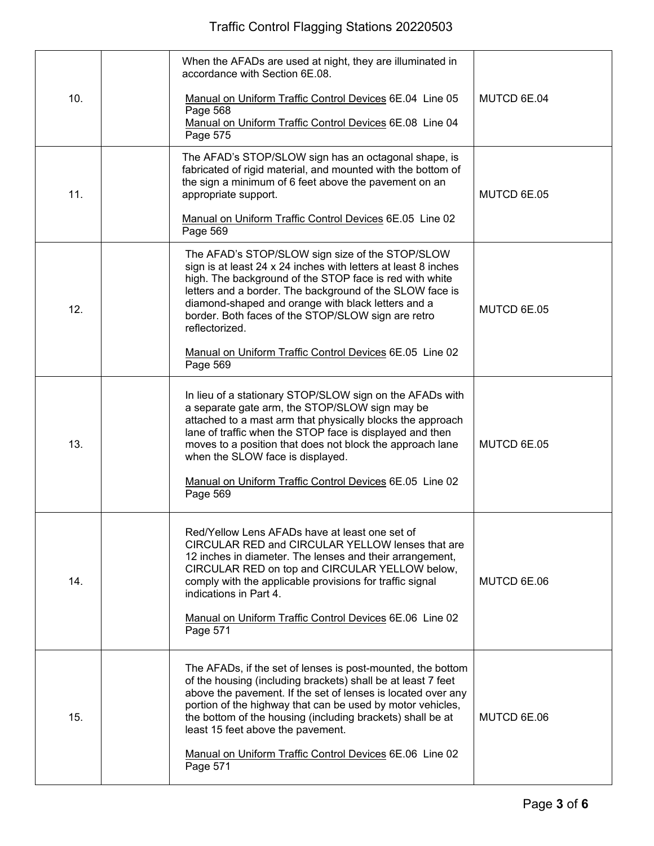| 10. | When the AFADs are used at night, they are illuminated in<br>accordance with Section 6E.08.<br>Manual on Uniform Traffic Control Devices 6E.04 Line 05<br>Page 568                                                                                                                                                                                                            | MUTCD 6E.04 |
|-----|-------------------------------------------------------------------------------------------------------------------------------------------------------------------------------------------------------------------------------------------------------------------------------------------------------------------------------------------------------------------------------|-------------|
|     | Manual on Uniform Traffic Control Devices 6E.08 Line 04<br>Page 575                                                                                                                                                                                                                                                                                                           |             |
| 11. | The AFAD's STOP/SLOW sign has an octagonal shape, is<br>fabricated of rigid material, and mounted with the bottom of<br>the sign a minimum of 6 feet above the pavement on an<br>appropriate support.<br>Manual on Uniform Traffic Control Devices 6E.05 Line 02                                                                                                              | MUTCD 6E.05 |
|     | Page 569                                                                                                                                                                                                                                                                                                                                                                      |             |
| 12. | The AFAD's STOP/SLOW sign size of the STOP/SLOW<br>sign is at least 24 x 24 inches with letters at least 8 inches<br>high. The background of the STOP face is red with white<br>letters and a border. The background of the SLOW face is<br>diamond-shaped and orange with black letters and a<br>border. Both faces of the STOP/SLOW sign are retro<br>reflectorized.        | MUTCD 6E.05 |
|     | Manual on Uniform Traffic Control Devices 6E.05 Line 02<br>Page 569                                                                                                                                                                                                                                                                                                           |             |
| 13. | In lieu of a stationary STOP/SLOW sign on the AFADs with<br>a separate gate arm, the STOP/SLOW sign may be<br>attached to a mast arm that physically blocks the approach<br>lane of traffic when the STOP face is displayed and then<br>moves to a position that does not block the approach lane<br>when the SLOW face is displayed.                                         | MUTCD 6E.05 |
|     | Manual on Uniform Traffic Control Devices 6E.05 Line 02<br>Page 569                                                                                                                                                                                                                                                                                                           |             |
| 14. | Red/Yellow Lens AFADs have at least one set of<br>CIRCULAR RED and CIRCULAR YELLOW lenses that are<br>12 inches in diameter. The lenses and their arrangement,<br>CIRCULAR RED on top and CIRCULAR YELLOW below,<br>comply with the applicable provisions for traffic signal<br>indications in Part 4.<br>Manual on Uniform Traffic Control Devices 6E.06 Line 02<br>Page 571 | MUTCD 6E.06 |
|     |                                                                                                                                                                                                                                                                                                                                                                               |             |
| 15. | The AFADs, if the set of lenses is post-mounted, the bottom<br>of the housing (including brackets) shall be at least 7 feet<br>above the pavement. If the set of lenses is located over any<br>portion of the highway that can be used by motor vehicles,<br>the bottom of the housing (including brackets) shall be at<br>least 15 feet above the pavement.                  | MUTCD 6E.06 |
|     | Manual on Uniform Traffic Control Devices 6E.06 Line 02<br>Page 571                                                                                                                                                                                                                                                                                                           |             |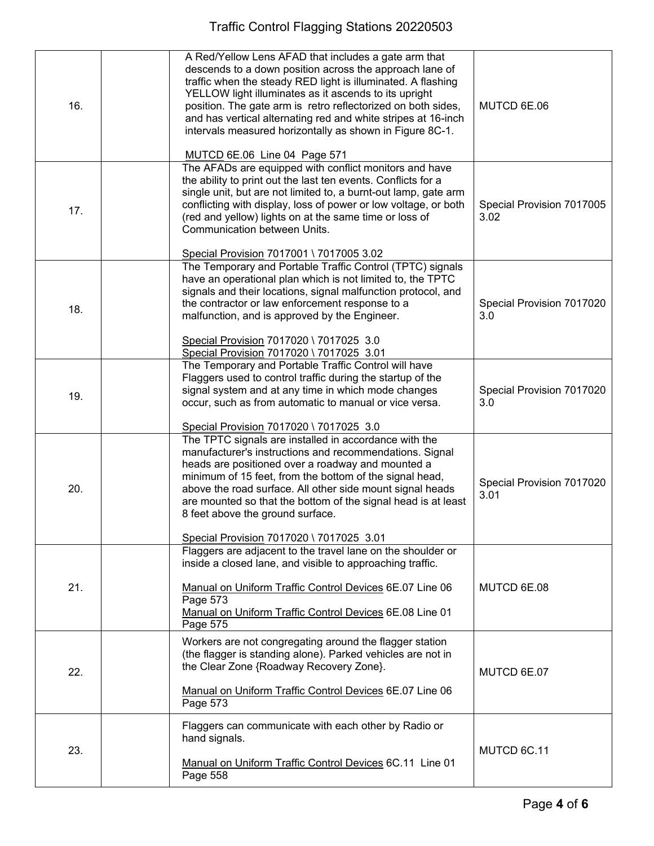| 16. | A Red/Yellow Lens AFAD that includes a gate arm that<br>descends to a down position across the approach lane of<br>traffic when the steady RED light is illuminated. A flashing<br>YELLOW light illuminates as it ascends to its upright<br>position. The gate arm is retro reflectorized on both sides,<br>and has vertical alternating red and white stripes at 16-inch<br>intervals measured horizontally as shown in Figure 8C-1.<br>MUTCD 6E.06 Line 04 Page 571 | MUTCD 6E.06                       |
|-----|-----------------------------------------------------------------------------------------------------------------------------------------------------------------------------------------------------------------------------------------------------------------------------------------------------------------------------------------------------------------------------------------------------------------------------------------------------------------------|-----------------------------------|
|     | The AFADs are equipped with conflict monitors and have                                                                                                                                                                                                                                                                                                                                                                                                                |                                   |
| 17. | the ability to print out the last ten events. Conflicts for a<br>single unit, but are not limited to, a burnt-out lamp, gate arm<br>conflicting with display, loss of power or low voltage, or both<br>(red and yellow) lights on at the same time or loss of<br>Communication between Units.<br>Special Provision 7017001 \ 7017005 3.02                                                                                                                             | Special Provision 7017005<br>3.02 |
|     | The Temporary and Portable Traffic Control (TPTC) signals                                                                                                                                                                                                                                                                                                                                                                                                             |                                   |
| 18. | have an operational plan which is not limited to, the TPTC<br>signals and their locations, signal malfunction protocol, and<br>the contractor or law enforcement response to a<br>malfunction, and is approved by the Engineer.                                                                                                                                                                                                                                       | Special Provision 7017020<br>3.0  |
|     | Special Provision 7017020 \ 7017025 3.0<br>Special Provision 7017020 \ 7017025 3.01                                                                                                                                                                                                                                                                                                                                                                                   |                                   |
| 19. | The Temporary and Portable Traffic Control will have<br>Flaggers used to control traffic during the startup of the<br>signal system and at any time in which mode changes<br>occur, such as from automatic to manual or vice versa.                                                                                                                                                                                                                                   | Special Provision 7017020<br>3.0  |
|     | Special Provision 7017020 \ 7017025 3.0                                                                                                                                                                                                                                                                                                                                                                                                                               |                                   |
| 20. | The TPTC signals are installed in accordance with the<br>manufacturer's instructions and recommendations. Signal<br>heads are positioned over a roadway and mounted a<br>minimum of 15 feet, from the bottom of the signal head,<br>above the road surface. All other side mount signal heads<br>are mounted so that the bottom of the signal head is at least<br>8 feet above the ground surface.<br>Special Provision 7017020 \ 7017025 3.01                        | Special Provision 7017020<br>3.01 |
|     | Flaggers are adjacent to the travel lane on the shoulder or                                                                                                                                                                                                                                                                                                                                                                                                           |                                   |
| 21. | inside a closed lane, and visible to approaching traffic.<br>Manual on Uniform Traffic Control Devices 6E.07 Line 06<br>Page 573<br>Manual on Uniform Traffic Control Devices 6E.08 Line 01<br>Page 575                                                                                                                                                                                                                                                               | MUTCD 6E.08                       |
| 22. | Workers are not congregating around the flagger station<br>(the flagger is standing alone). Parked vehicles are not in<br>the Clear Zone {Roadway Recovery Zone}.<br>Manual on Uniform Traffic Control Devices 6E.07 Line 06                                                                                                                                                                                                                                          | MUTCD 6E.07                       |
|     | Page 573                                                                                                                                                                                                                                                                                                                                                                                                                                                              |                                   |
| 23. | Flaggers can communicate with each other by Radio or<br>hand signals.<br>Manual on Uniform Traffic Control Devices 6C.11 Line 01<br>Page 558                                                                                                                                                                                                                                                                                                                          | MUTCD 6C.11                       |
|     |                                                                                                                                                                                                                                                                                                                                                                                                                                                                       |                                   |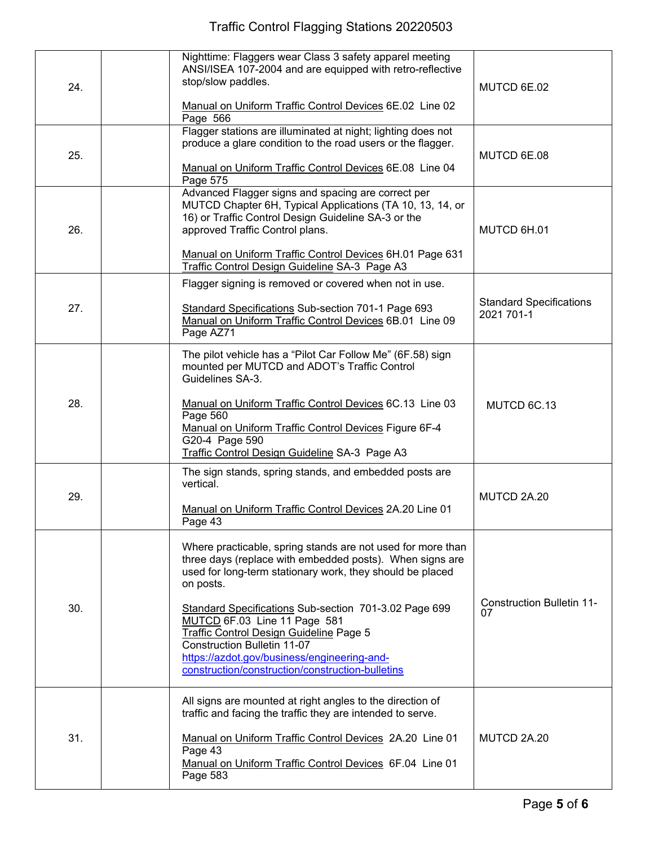| 24. | Nighttime: Flaggers wear Class 3 safety apparel meeting<br>ANSI/ISEA 107-2004 and are equipped with retro-reflective<br>stop/slow paddles.<br>Manual on Uniform Traffic Control Devices 6E.02 Line 02<br>Page 566                                                                                                                                                                                                                                                       | MUTCD 6E.02                                  |
|-----|-------------------------------------------------------------------------------------------------------------------------------------------------------------------------------------------------------------------------------------------------------------------------------------------------------------------------------------------------------------------------------------------------------------------------------------------------------------------------|----------------------------------------------|
| 25. | Flagger stations are illuminated at night; lighting does not<br>produce a glare condition to the road users or the flagger.<br>Manual on Uniform Traffic Control Devices 6E.08 Line 04<br>Page 575                                                                                                                                                                                                                                                                      | MUTCD 6E.08                                  |
| 26. | Advanced Flagger signs and spacing are correct per<br>MUTCD Chapter 6H, Typical Applications (TA 10, 13, 14, or<br>16) or Traffic Control Design Guideline SA-3 or the<br>approved Traffic Control plans.<br>Manual on Uniform Traffic Control Devices 6H.01 Page 631<br>Traffic Control Design Guideline SA-3 Page A3                                                                                                                                                  | MUTCD 6H.01                                  |
| 27. | Flagger signing is removed or covered when not in use.<br>Standard Specifications Sub-section 701-1 Page 693<br>Manual on Uniform Traffic Control Devices 6B.01 Line 09<br>Page AZ71                                                                                                                                                                                                                                                                                    | <b>Standard Specifications</b><br>2021 701-1 |
| 28. | The pilot vehicle has a "Pilot Car Follow Me" (6F.58) sign<br>mounted per MUTCD and ADOT's Traffic Control<br>Guidelines SA-3.<br>Manual on Uniform Traffic Control Devices 6C.13 Line 03<br>Page 560<br>Manual on Uniform Traffic Control Devices Figure 6F-4<br>G20-4 Page 590<br>Traffic Control Design Guideline SA-3 Page A3                                                                                                                                       | MUTCD 6C.13                                  |
| 29. | The sign stands, spring stands, and embedded posts are<br>vertical.<br>Manual on Uniform Traffic Control Devices 2A.20 Line 01<br>Page 43                                                                                                                                                                                                                                                                                                                               | MUTCD 2A.20                                  |
| 30. | Where practicable, spring stands are not used for more than<br>three days (replace with embedded posts). When signs are<br>used for long-term stationary work, they should be placed<br>on posts.<br>Standard Specifications Sub-section 701-3.02 Page 699<br>MUTCD 6F.03 Line 11 Page 581<br>Traffic Control Design Guideline Page 5<br>Construction Bulletin 11-07<br>https://azdot.gov/business/engineering-and-<br>construction/construction/construction-bulletins | <b>Construction Bulletin 11-</b><br>07       |
| 31. | All signs are mounted at right angles to the direction of<br>traffic and facing the traffic they are intended to serve.<br>Manual on Uniform Traffic Control Devices 2A.20 Line 01<br>Page 43<br>Manual on Uniform Traffic Control Devices 6F.04 Line 01<br>Page 583                                                                                                                                                                                                    | MUTCD 2A.20                                  |